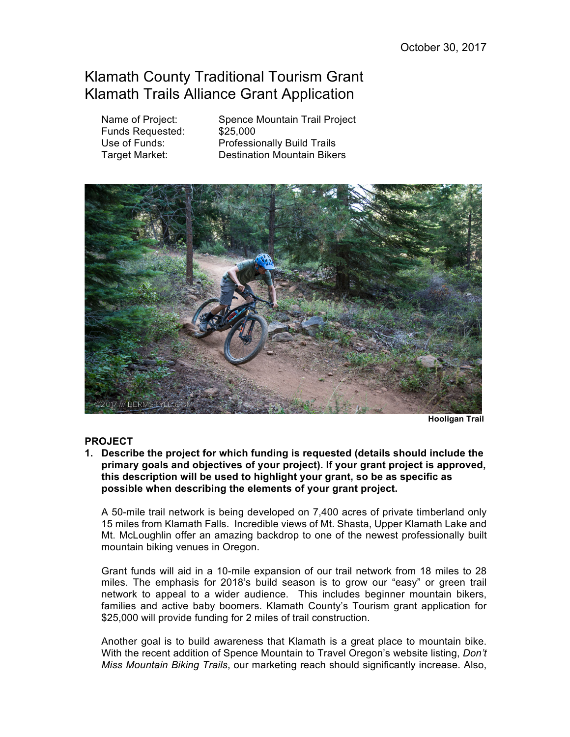# Klamath County Traditional Tourism Grant Klamath Trails Alliance Grant Application

Funds Requested: \$25,000

Name of Project: Spence Mountain Trail Project Use of Funds: Professionally Build Trails Target Market: Destination Mountain Bikers



 **Hooligan Trail**

# **PROJECT**

**1. Describe the project for which funding is requested (details should include the primary goals and objectives of your project). If your grant project is approved, this description will be used to highlight your grant, so be as specific as possible when describing the elements of your grant project.** 

A 50-mile trail network is being developed on 7,400 acres of private timberland only 15 miles from Klamath Falls. Incredible views of Mt. Shasta, Upper Klamath Lake and Mt. McLoughlin offer an amazing backdrop to one of the newest professionally built mountain biking venues in Oregon.

Grant funds will aid in a 10-mile expansion of our trail network from 18 miles to 28 miles. The emphasis for 2018's build season is to grow our "easy" or green trail network to appeal to a wider audience. This includes beginner mountain bikers, families and active baby boomers. Klamath County's Tourism grant application for \$25,000 will provide funding for 2 miles of trail construction.

Another goal is to build awareness that Klamath is a great place to mountain bike. With the recent addition of Spence Mountain to Travel Oregon's website listing, *Don't Miss Mountain Biking Trails*, our marketing reach should significantly increase. Also,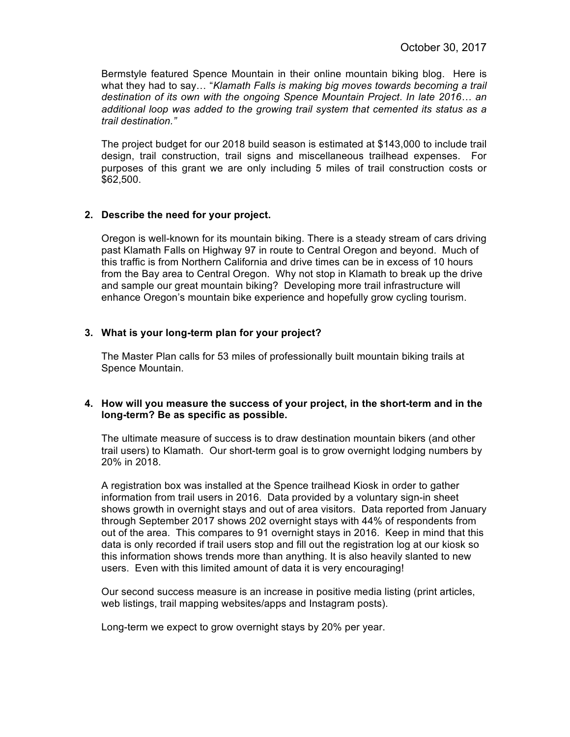Bermstyle featured Spence Mountain in their online mountain biking blog. Here is what they had to say… "*Klamath Falls is making big moves towards becoming a trail destination of its own with the ongoing Spence Mountain Project*. *In late 2016… an additional loop was added to the growing trail system that cemented its status as a trail destination."*

The project budget for our 2018 build season is estimated at \$143,000 to include trail design, trail construction, trail signs and miscellaneous trailhead expenses. For purposes of this grant we are only including 5 miles of trail construction costs or \$62,500.

#### **2. Describe the need for your project.**

Oregon is well-known for its mountain biking. There is a steady stream of cars driving past Klamath Falls on Highway 97 in route to Central Oregon and beyond. Much of this traffic is from Northern California and drive times can be in excess of 10 hours from the Bay area to Central Oregon. Why not stop in Klamath to break up the drive and sample our great mountain biking? Developing more trail infrastructure will enhance Oregon's mountain bike experience and hopefully grow cycling tourism.

## **3. What is your long-term plan for your project?**

The Master Plan calls for 53 miles of professionally built mountain biking trails at Spence Mountain.

## **4. How will you measure the success of your project, in the short-term and in the long-term? Be as specific as possible.**

The ultimate measure of success is to draw destination mountain bikers (and other trail users) to Klamath. Our short-term goal is to grow overnight lodging numbers by 20% in 2018.

A registration box was installed at the Spence trailhead Kiosk in order to gather information from trail users in 2016. Data provided by a voluntary sign-in sheet shows growth in overnight stays and out of area visitors. Data reported from January through September 2017 shows 202 overnight stays with 44% of respondents from out of the area. This compares to 91 overnight stays in 2016. Keep in mind that this data is only recorded if trail users stop and fill out the registration log at our kiosk so this information shows trends more than anything. It is also heavily slanted to new users. Even with this limited amount of data it is very encouraging!

Our second success measure is an increase in positive media listing (print articles, web listings, trail mapping websites/apps and Instagram posts).

Long-term we expect to grow overnight stays by 20% per year.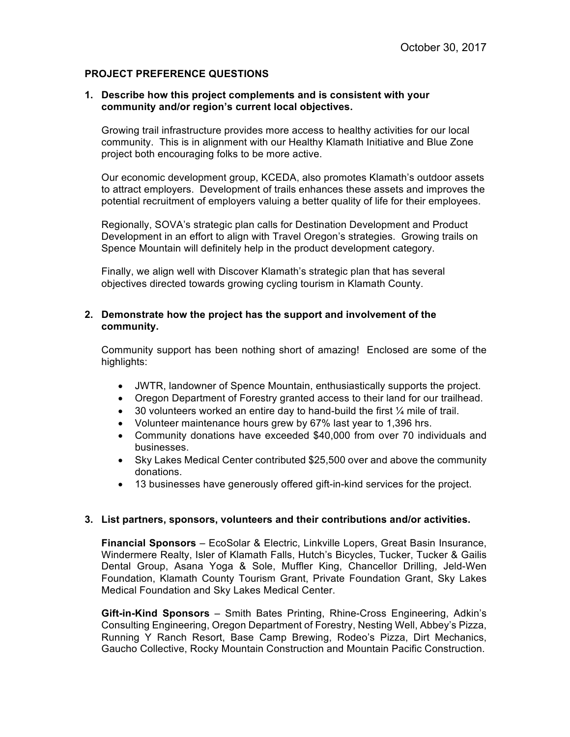## **PROJECT PREFERENCE QUESTIONS**

#### **1. Describe how this project complements and is consistent with your community and/or region's current local objectives.**

Growing trail infrastructure provides more access to healthy activities for our local community. This is in alignment with our Healthy Klamath Initiative and Blue Zone project both encouraging folks to be more active.

Our economic development group, KCEDA, also promotes Klamath's outdoor assets to attract employers. Development of trails enhances these assets and improves the potential recruitment of employers valuing a better quality of life for their employees.

Regionally, SOVA's strategic plan calls for Destination Development and Product Development in an effort to align with Travel Oregon's strategies. Growing trails on Spence Mountain will definitely help in the product development category.

Finally, we align well with Discover Klamath's strategic plan that has several objectives directed towards growing cycling tourism in Klamath County.

## **2. Demonstrate how the project has the support and involvement of the community.**

Community support has been nothing short of amazing! Enclosed are some of the highlights:

- JWTR, landowner of Spence Mountain, enthusiastically supports the project.
- Oregon Department of Forestry granted access to their land for our trailhead.
- 30 volunteers worked an entire day to hand-build the first 1/4 mile of trail.
- Volunteer maintenance hours grew by 67% last year to 1,396 hrs.
- Community donations have exceeded \$40,000 from over 70 individuals and businesses.
- Sky Lakes Medical Center contributed \$25,500 over and above the community donations.
- 13 businesses have generously offered gift-in-kind services for the project.

#### **3. List partners, sponsors, volunteers and their contributions and/or activities.**

**Financial Sponsors** – EcoSolar & Electric, Linkville Lopers, Great Basin Insurance, Windermere Realty, Isler of Klamath Falls, Hutch's Bicycles, Tucker, Tucker & Gailis Dental Group, Asana Yoga & Sole, Muffler King, Chancellor Drilling, Jeld-Wen Foundation, Klamath County Tourism Grant, Private Foundation Grant, Sky Lakes Medical Foundation and Sky Lakes Medical Center.

**Gift-in-Kind Sponsors** – Smith Bates Printing, Rhine-Cross Engineering, Adkin's Consulting Engineering, Oregon Department of Forestry, Nesting Well, Abbey's Pizza, Running Y Ranch Resort, Base Camp Brewing, Rodeo's Pizza, Dirt Mechanics, Gaucho Collective, Rocky Mountain Construction and Mountain Pacific Construction.